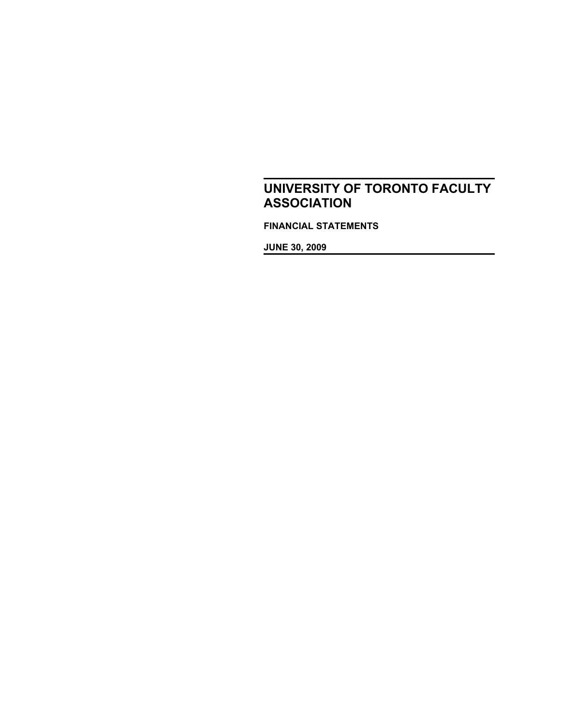**FINANCIAL STATEMENTS**

**JUNE 30, 2009**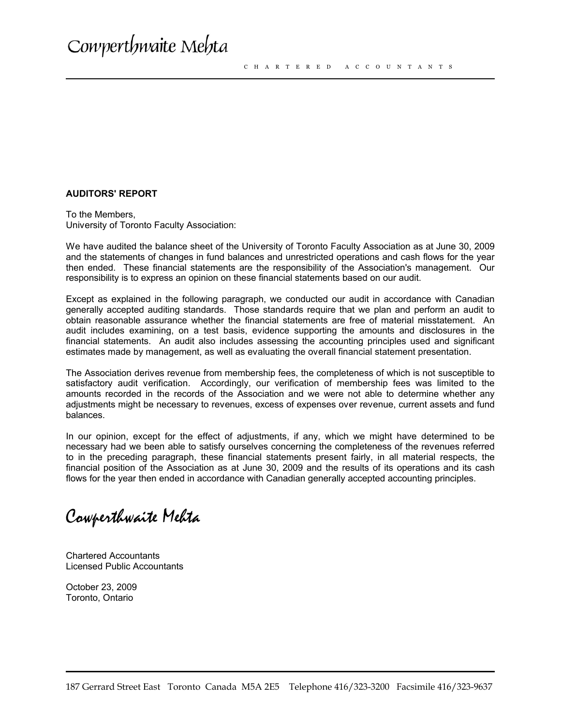#### **AUDITORS' REPORT**

To the Members, University of Toronto Faculty Association:

We have audited the balance sheet of the University of Toronto Faculty Association as at June 30, 2009 and the statements of changes in fund balances and unrestricted operations and cash flows for the year then ended. These financial statements are the responsibility of the Association's management. Our responsibility is to express an opinion on these financial statements based on our audit.

Except as explained in the following paragraph, we conducted our audit in accordance with Canadian generally accepted auditing standards. Those standards require that we plan and perform an audit to obtain reasonable assurance whether the financial statements are free of material misstatement. An audit includes examining, on a test basis, evidence supporting the amounts and disclosures in the financial statements. An audit also includes assessing the accounting principles used and significant estimates made by management, as well as evaluating the overall financial statement presentation.

The Association derives revenue from membership fees, the completeness of which is not susceptible to satisfactory audit verification. Accordingly, our verification of membership fees was limited to the amounts recorded in the records of the Association and we were not able to determine whether any adjustments might be necessary to revenues, excess of expenses over revenue, current assets and fund balances.

In our opinion, except for the effect of adjustments, if any, which we might have determined to be necessary had we been able to satisfy ourselves concerning the completeness of the revenues referred to in the preceding paragraph, these financial statements present fairly, in all material respects, the financial position of the Association as at June 30, 2009 and the results of its operations and its cash flows for the year then ended in accordance with Canadian generally accepted accounting principles.

Cowperthwaite Mehta

Chartered Accountants Licensed Public Accountants

October 23, 2009 Toronto, Ontario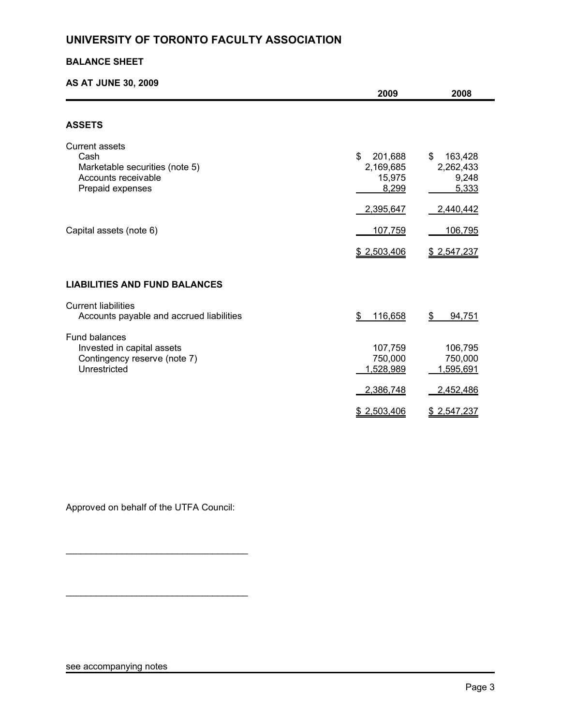### **BALANCE SHEET**

## **AS AT JUNE 30, 2009**

|                                                                                                            | 2009                                          | 2008                                         |
|------------------------------------------------------------------------------------------------------------|-----------------------------------------------|----------------------------------------------|
|                                                                                                            |                                               |                                              |
| <b>ASSETS</b>                                                                                              |                                               |                                              |
| <b>Current assets</b><br>Cash<br>Marketable securities (note 5)<br>Accounts receivable<br>Prepaid expenses | \$<br>201,688<br>2,169,685<br>15,975<br>8,299 | \$<br>163,428<br>2,262,433<br>9,248<br>5,333 |
|                                                                                                            | 2,395,647                                     | 2,440,442                                    |
| Capital assets (note 6)                                                                                    | 107,759                                       | 106,795                                      |
|                                                                                                            | \$2,503,406                                   | \$2,547,237                                  |
| <b>LIABILITIES AND FUND BALANCES</b>                                                                       |                                               |                                              |
| <b>Current liabilities</b><br>Accounts payable and accrued liabilities                                     | 116,658<br>\$                                 | \$<br><u>94,751</u>                          |
| <b>Fund balances</b><br>Invested in capital assets<br>Contingency reserve (note 7)<br>Unrestricted         | 107,759<br>750,000<br>1,528,989<br>2,386,748  | 106,795<br>750,000<br>1,595,691<br>2,452,486 |
|                                                                                                            | \$2,503,406                                   | \$2,547,237                                  |

Approved on behalf of the UTFA Council:

\_\_\_\_\_\_\_\_\_\_\_\_\_\_\_\_\_\_\_\_\_\_\_\_\_\_\_\_\_\_\_\_\_\_\_\_

\_\_\_\_\_\_\_\_\_\_\_\_\_\_\_\_\_\_\_\_\_\_\_\_\_\_\_\_\_\_\_\_\_\_\_\_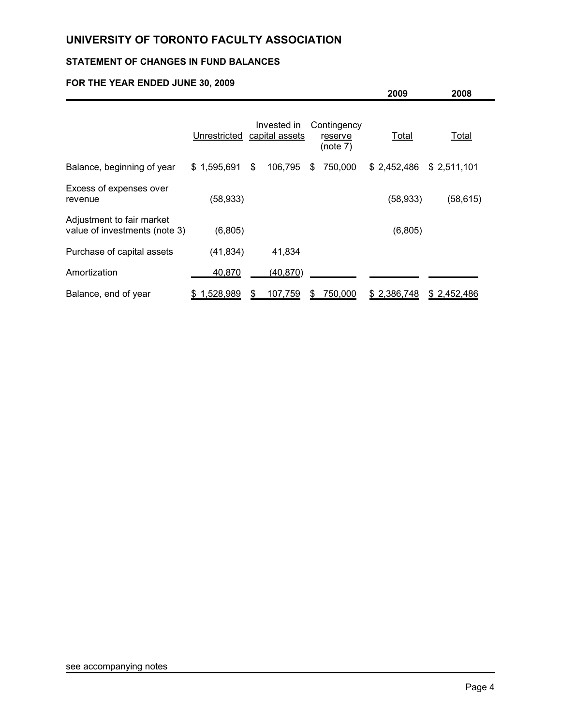## **STATEMENT OF CHANGES IN FUND BALANCES**

## **FOR THE YEAR ENDED JUNE 30, 2009**

|                                                            |              |                               |    |                                    | 2009        | 2008        |  |
|------------------------------------------------------------|--------------|-------------------------------|----|------------------------------------|-------------|-------------|--|
|                                                            | Unrestricted | Invested in<br>capital assets |    | Contingency<br>reserve<br>(note 7) | Total       | Total       |  |
| Balance, beginning of year                                 | \$1,595,691  | \$<br>106,795                 | \$ | 750,000                            | \$2,452,486 | \$2,511,101 |  |
| Excess of expenses over<br>revenue                         | (58, 933)    |                               |    |                                    | (58, 933)   | (58, 615)   |  |
| Adjustment to fair market<br>value of investments (note 3) | (6,805)      |                               |    |                                    | (6,805)     |             |  |
| Purchase of capital assets                                 | (41, 834)    | 41,834                        |    |                                    |             |             |  |
| Amortization                                               | 40,870       | (40, 870)                     |    |                                    |             |             |  |
| Balance, end of year                                       | \$1,528,989  | 107,759                       | S  | 750,000                            | \$2,386,748 | \$2,452,486 |  |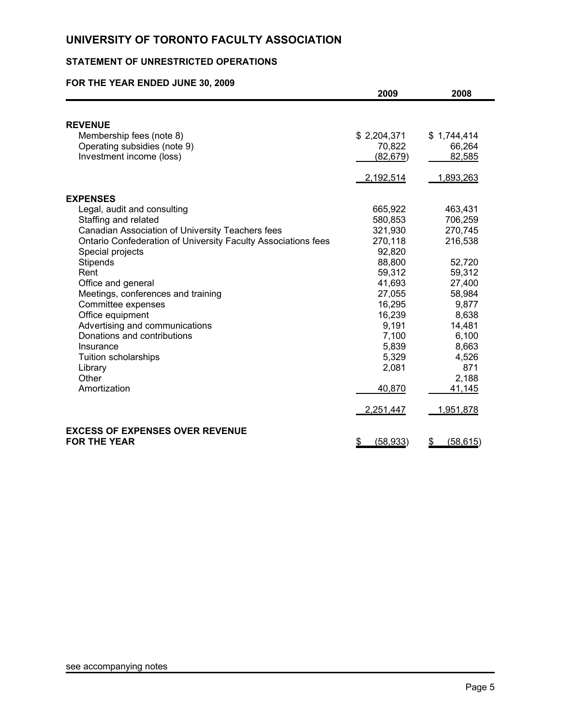## **STATEMENT OF UNRESTRICTED OPERATIONS**

## **FOR THE YEAR ENDED JUNE 30, 2009**

|                                                               | 2009            | 2008            |
|---------------------------------------------------------------|-----------------|-----------------|
|                                                               |                 |                 |
| <b>REVENUE</b>                                                |                 |                 |
| Membership fees (note 8)                                      | \$2,204,371     | \$1,744,414     |
| Operating subsidies (note 9)                                  | 70,822          | 66,264          |
| Investment income (loss)                                      | (82, 679)       | 82,585          |
|                                                               | 2,192,514       | 1,893,263       |
| <b>EXPENSES</b>                                               |                 |                 |
| Legal, audit and consulting                                   | 665,922         | 463,431         |
| Staffing and related                                          | 580,853         | 706,259         |
| Canadian Association of University Teachers fees              | 321,930         | 270,745         |
| Ontario Confederation of University Faculty Associations fees | 270,118         | 216,538         |
| Special projects                                              | 92,820          |                 |
| Stipends                                                      | 88,800          | 52,720          |
| Rent                                                          | 59,312          | 59,312          |
| Office and general                                            | 41,693          | 27,400          |
| Meetings, conferences and training                            | 27,055          | 58,984          |
| Committee expenses                                            | 16,295          | 9,877           |
| Office equipment                                              | 16,239          | 8,638           |
| Advertising and communications                                | 9,191           | 14,481          |
| Donations and contributions                                   | 7,100           | 6,100           |
| Insurance                                                     | 5,839           | 8,663           |
| Tuition scholarships                                          | 5,329           | 4,526           |
| Library                                                       | 2,081           | 871             |
| Other                                                         |                 | 2,188           |
| Amortization                                                  | 40,870          | 41,145          |
|                                                               | 2,251,447       | 1,951,878       |
| <b>EXCESS OF EXPENSES OVER REVENUE</b>                        |                 |                 |
| <b>FOR THE YEAR</b>                                           | (58, 933)<br>\$ | \$<br>(58, 615) |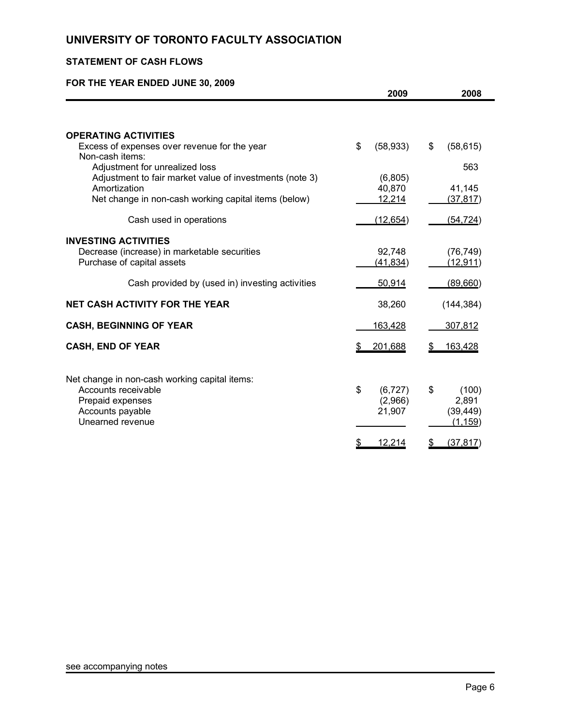## **STATEMENT OF CASH FLOWS**

## **FOR THE YEAR ENDED JUNE 30, 2009**

|                                                                                           | 2009              | 2008                  |
|-------------------------------------------------------------------------------------------|-------------------|-----------------------|
|                                                                                           |                   |                       |
| <b>OPERATING ACTIVITIES</b>                                                               |                   |                       |
| Excess of expenses over revenue for the year<br>Non-cash items:                           | \$<br>(58, 933)   | \$<br>(58, 615)       |
| Adjustment for unrealized loss<br>Adjustment to fair market value of investments (note 3) |                   | 563                   |
| Amortization                                                                              | (6,805)<br>40,870 | 41,145                |
| Net change in non-cash working capital items (below)                                      | 12,214            | (37, 817)             |
| Cash used in operations                                                                   | (12, 654)         | (54, 724)             |
| <b>INVESTING ACTIVITIES</b>                                                               |                   |                       |
| Decrease (increase) in marketable securities                                              | 92,748            | (76, 749)             |
| Purchase of capital assets                                                                | (41, 834)         | (12, 911)             |
| Cash provided by (used in) investing activities                                           | 50,914            | (89,660)              |
| <b>NET CASH ACTIVITY FOR THE YEAR</b>                                                     | 38,260            | (144, 384)            |
| <b>CASH, BEGINNING OF YEAR</b>                                                            | 163,428           | 307,812               |
| <b>CASH, END OF YEAR</b>                                                                  | 201,688           | <u>163,428</u>        |
| Net change in non-cash working capital items:                                             |                   |                       |
| Accounts receivable                                                                       | \$<br>(6, 727)    | \$<br>(100)           |
| Prepaid expenses                                                                          | (2,966)           | 2,891                 |
| Accounts payable<br>Unearned revenue                                                      | 21,907            | (39, 449)<br>(1, 159) |
|                                                                                           |                   |                       |
|                                                                                           | 12,214            | \$<br>(37, 817)       |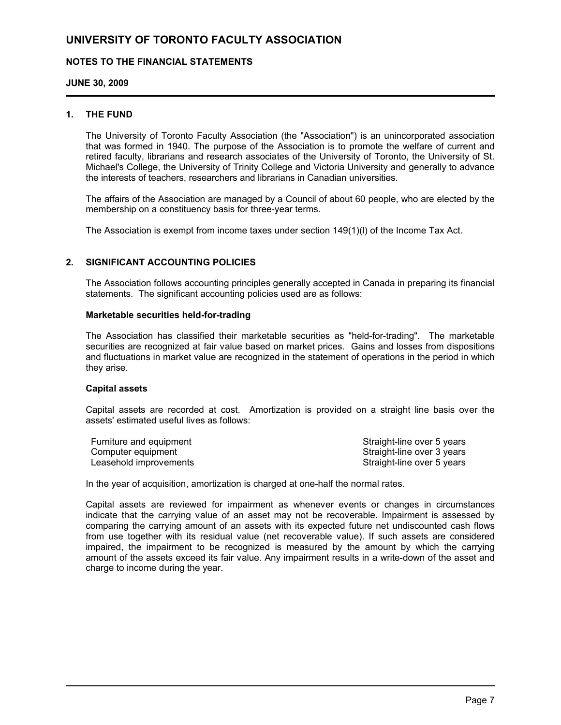### **NOTES TO THE FINANCIAL STATEMENTS**

**JUNE 30, 2009**

#### **1. THE FUND**

The University of Toronto Faculty Association (the "Association") is an unincorporated association that was formed in 1940. The purpose of the Association is to promote the welfare of current and retired faculty, librarians and research associates of the University of Toronto, the University of St. Michael's College, the University of Trinity College and Victoria University and generally to advance the interests of teachers, researchers and librarians in Canadian universities.

The affairs of the Association are managed by a Council of about 60 people, who are elected by the membership on a constituency basis for three-year terms.

The Association is exempt from income taxes under section 149(1)(l) of the Income Tax Act.

### **2. SIGNIFICANT ACCOUNTING POLICIES**

The Association follows accounting principles generally accepted in Canada in preparing its financial statements. The significant accounting policies used are as follows:

#### **Marketable securities held-for-trading**

The Association has classified their marketable securities as "held-for-trading". The marketable securities are recognized at fair value based on market prices. Gains and losses from dispositions and fluctuations in market value are recognized in the statement of operations in the period in which they arise.

#### **Capital assets**

Capital assets are recorded at cost. Amortization is provided on a straight line basis over the assets' estimated useful lives as follows:

| Furniture and equipment | Straight-line over 5 years |
|-------------------------|----------------------------|
| Computer equipment      | Straight-line over 3 years |
| Leasehold improvements  | Straight-line over 5 years |

In the year of acquisition, amortization is charged at one-half the normal rates.

Capital assets are reviewed for impairment as whenever events or changes in circumstances indicate that the carrying value of an asset may not be recoverable. Impairment is assessed by comparing the carrying amount of an assets with its expected future net undiscounted cash flows from use together with its residual value (net recoverable value). If such assets are considered impaired, the impairment to be recognized is measured by the amount by which the carrying amount of the assets exceed its fair value. Any impairment results in a write-down of the asset and charge to income during the year.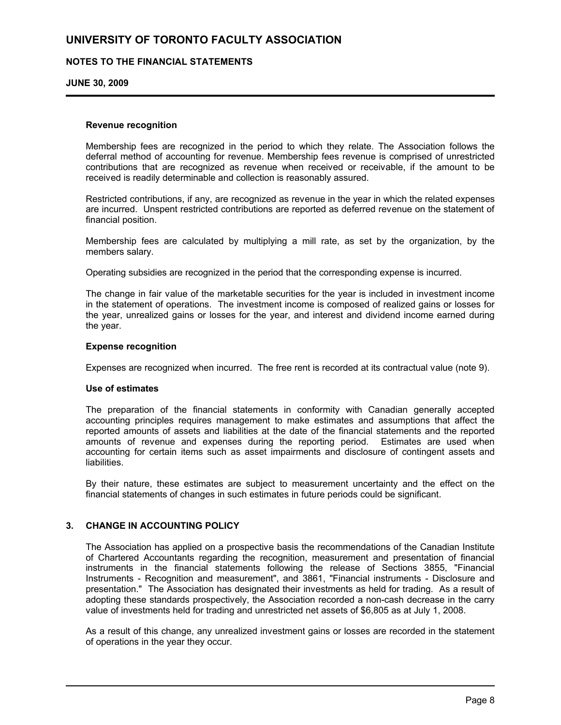### **NOTES TO THE FINANCIAL STATEMENTS**

**JUNE 30, 2009**

#### **Revenue recognition**

Membership fees are recognized in the period to which they relate. The Association follows the deferral method of accounting for revenue. Membership fees revenue is comprised of unrestricted contributions that are recognized as revenue when received or receivable, if the amount to be received is readily determinable and collection is reasonably assured.

Restricted contributions, if any, are recognized as revenue in the year in which the related expenses are incurred. Unspent restricted contributions are reported as deferred revenue on the statement of financial position.

Membership fees are calculated by multiplying a mill rate, as set by the organization, by the members salary.

Operating subsidies are recognized in the period that the corresponding expense is incurred.

The change in fair value of the marketable securities for the year is included in investment income in the statement of operations. The investment income is composed of realized gains or losses for the year, unrealized gains or losses for the year, and interest and dividend income earned during the year.

#### **Expense recognition**

Expenses are recognized when incurred. The free rent is recorded at its contractual value (note 9).

#### **Use of estimates**

The preparation of the financial statements in conformity with Canadian generally accepted accounting principles requires management to make estimates and assumptions that affect the reported amounts of assets and liabilities at the date of the financial statements and the reported amounts of revenue and expenses during the reporting period. Estimates are used when accounting for certain items such as asset impairments and disclosure of contingent assets and liabilities.

By their nature, these estimates are subject to measurement uncertainty and the effect on the financial statements of changes in such estimates in future periods could be significant.

### **3. CHANGE IN ACCOUNTING POLICY**

The Association has applied on a prospective basis the recommendations of the Canadian Institute of Chartered Accountants regarding the recognition, measurement and presentation of financial instruments in the financial statements following the release of Sections 3855, "Financial Instruments - Recognition and measurement", and 3861, "Financial instruments - Disclosure and presentation." The Association has designated their investments as held for trading. As a result of adopting these standards prospectively, the Association recorded a non-cash decrease in the carry value of investments held for trading and unrestricted net assets of \$6,805 as at July 1, 2008.

As a result of this change, any unrealized investment gains or losses are recorded in the statement of operations in the year they occur.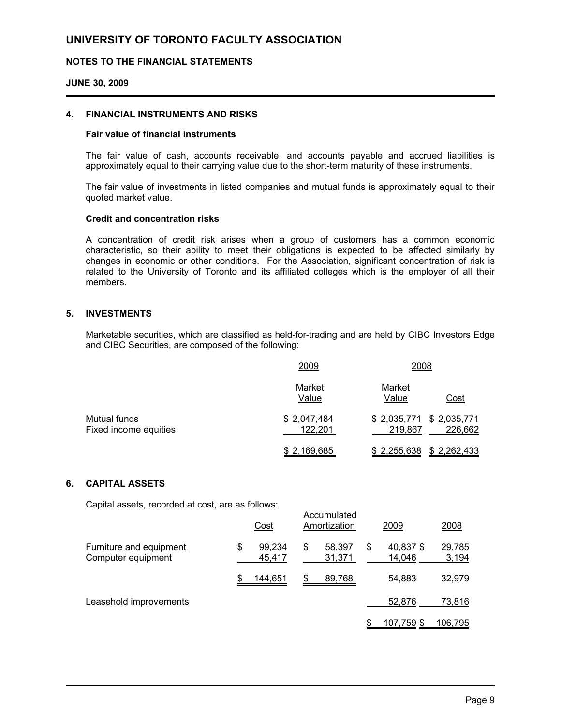### **NOTES TO THE FINANCIAL STATEMENTS**

#### **JUNE 30, 2009**

#### **4. FINANCIAL INSTRUMENTS AND RISKS**

#### **Fair value of financial instruments**

The fair value of cash, accounts receivable, and accounts payable and accrued liabilities is approximately equal to their carrying value due to the short-term maturity of these instruments.

The fair value of investments in listed companies and mutual funds is approximately equal to their quoted market value.

### **Credit and concentration risks**

A concentration of credit risk arises when a group of customers has a common economic characteristic, so their ability to meet their obligations is expected to be affected similarly by changes in economic or other conditions. For the Association, significant concentration of risk is related to the University of Toronto and its affiliated colleges which is the employer of all their members.

### **5. INVESTMENTS**

Marketable securities, which are classified as held-for-trading and are held by CIBC Investors Edge and CIBC Securities, are composed of the following:

|                                       | 2009                   | 2008                                            |
|---------------------------------------|------------------------|-------------------------------------------------|
|                                       | Market<br>Value        | Market<br>Value<br>Cost                         |
| Mutual funds<br>Fixed income equities | \$2,047,484<br>122,201 | $$2,035,771$ $$2,035,771$<br>226,662<br>219,867 |
|                                       | \$2,169,685            | \$2,262,433<br>\$2,255,638                      |

### **6. CAPITAL ASSETS**

Capital assets, recorded at cost, are as follows:

|                                               | Cost                   |    | Accumulated<br>Amortization | 2009                      | 2008            |
|-----------------------------------------------|------------------------|----|-----------------------------|---------------------------|-----------------|
| Furniture and equipment<br>Computer equipment | \$<br>99,234<br>45,417 | \$ | 58.397<br>31,371            | \$<br>40,837 \$<br>14,046 | 29,785<br>3,194 |
|                                               | 144,651                | S  | 89,768                      | 54,883                    | 32,979          |
| Leasehold improvements                        |                        |    |                             | 52.876                    | 73,816          |
|                                               |                        |    |                             | 107,759 \$                | <u>106,795</u>  |

Accumulated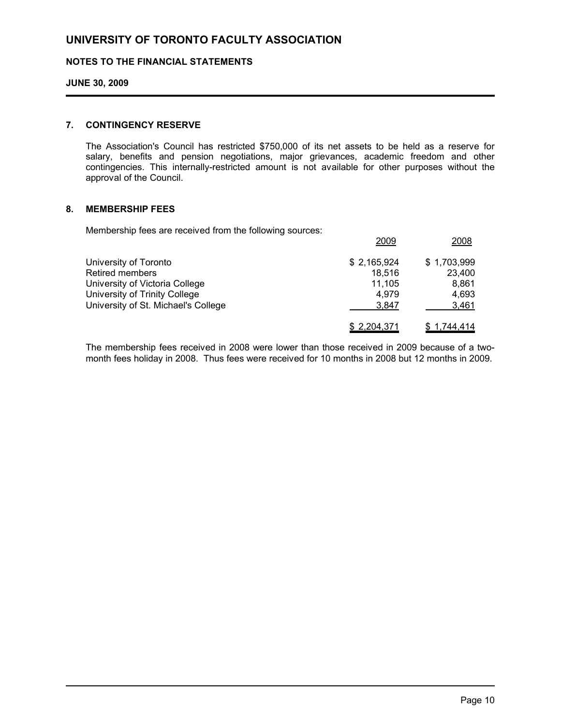### **NOTES TO THE FINANCIAL STATEMENTS**

### **JUNE 30, 2009**

#### **7. CONTINGENCY RESERVE**

The Association's Council has restricted \$750,000 of its net assets to be held as a reserve for salary, benefits and pension negotiations, major grievances, academic freedom and other contingencies. This internally-restricted amount is not available for other purposes without the approval of the Council.

#### **8. MEMBERSHIP FEES**

Membership fees are received from the following sources:

|                                     | 2009        | 2008        |
|-------------------------------------|-------------|-------------|
| University of Toronto               | \$2,165,924 | \$1,703,999 |
| <b>Retired members</b>              | 18.516      | 23,400      |
| University of Victoria College      | 11.105      | 8.861       |
| University of Trinity College       | 4.979       | 4,693       |
| University of St. Michael's College | 3.847       | 3,461       |
|                                     | \$2,204,371 | \$1,744,414 |

The membership fees received in 2008 were lower than those received in 2009 because of a twomonth fees holiday in 2008. Thus fees were received for 10 months in 2008 but 12 months in 2009.